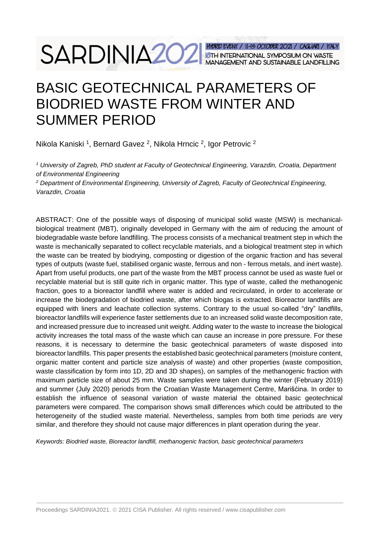# SARDINIA202 HABRID EVENT / 11-15 OCTOBER 2021 / CALIAR / ITALY

# BASIC GEOTECHNICAL PARAMETERS OF BIODRIED WASTE FROM WINTER AND SUMMER PERIOD

Nikola Kaniski <sup>1</sup>, Bernard Gavez <sup>2</sup>, Nikola Hrncic <sup>2</sup>, Igor Petrovic <sup>2</sup>

*<sup>1</sup> University of Zagreb, PhD student at Faculty of Geotechnical Engineering, Varazdin, Croatia, Department of Environmental Engineering*

*<sup>2</sup> Department of Environmental Engineering, University of Zagreb, Faculty of Geotechnical Engineering, Varazdin, Croatia*

ABSTRACT: One of the possible ways of disposing of municipal solid waste (MSW) is mechanicalbiological treatment (MBT), originally developed in Germany with the aim of reducing the amount of biodegradable waste before landfilling. The process consists of a mechanical treatment step in which the waste is mechanically separated to collect recyclable materials, and a biological treatment step in which the waste can be treated by biodrying, composting or digestion of the organic fraction and has several types of outputs (waste fuel, stabilised organic waste, ferrous and non - ferrous metals, and inert waste). Apart from useful products, one part of the waste from the MBT process cannot be used as waste fuel or recyclable material but is still quite rich in organic matter. This type of waste, called the methanogenic fraction, goes to a bioreactor landfill where water is added and recirculated, in order to accelerate or increase the biodegradation of biodried waste, after which biogas is extracted. Bioreactor landfills are equipped with liners and leachate collection systems. Contrary to the usual so-called "dry" landfills, bioreactor landfills will experience faster settlements due to an increased solid waste decomposition rate, and increased pressure due to increased unit weight. Adding water to the waste to increase the biological activity increases the total mass of the waste which can cause an increase in pore pressure. For these reasons, it is necessary to determine the basic geotechnical parameters of waste disposed into bioreactor landfills. This paper presents the established basic geotechnical parameters (moisture content, organic matter content and particle size analysis of waste) and other properties (waste composition, waste classification by form into 1D, 2D and 3D shapes), on samples of the methanogenic fraction with maximum particle size of about 25 mm. Waste samples were taken during the winter (February 2019) and summer (July 2020) periods from the Croatian Waste Management Centre, Marišćina. In order to establish the influence of seasonal variation of waste material the obtained basic geotechnical parameters were compared. The comparison shows small differences which could be attributed to the heterogeneity of the studied waste material. Nevertheless, samples from both time periods are very similar, and therefore they should not cause major differences in plant operation during the year.

*Keywords: Biodried waste, Bioreactor landfill, methanogenic fraction, basic geotechnical parameters*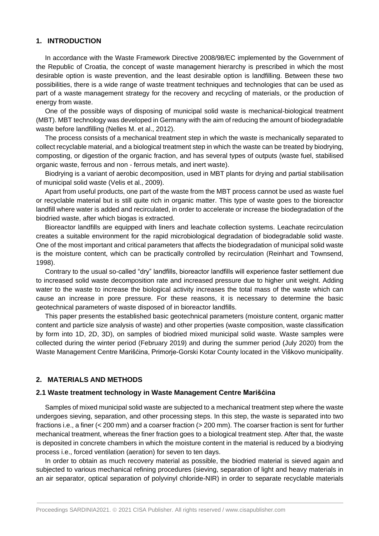#### **1. INTRODUCTION**

In accordance with the Waste Framework Directive 2008/98/EC implemented by the Government of the Republic of Croatia, the concept of waste management hierarchy is prescribed in which the most desirable option is waste prevention, and the least desirable option is landfilling. Between these two possibilities, there is a wide range of waste treatment techniques and technologies that can be used as part of a waste management strategy for the recovery and recycling of materials, or the production of energy from waste.

One of the possible ways of disposing of municipal solid waste is mechanical-biological treatment (MBT). MBT technology was developed in Germany with the aim of reducing the amount of biodegradable waste before landfilling (Nelles M. et al., 2012).

The process consists of a mechanical treatment step in which the waste is mechanically separated to collect recyclable material, and a biological treatment step in which the waste can be treated by biodrying, composting, or digestion of the organic fraction, and has several types of outputs (waste fuel, stabilised organic waste, ferrous and non - ferrous metals, and inert waste).

Biodrying is a variant of aerobic decomposition, used in MBT plants for drying and partial stabilisation of municipal solid waste (Velis et al., 2009).

Apart from useful products, one part of the waste from the MBT process cannot be used as waste fuel or recyclable material but is still quite rich in organic matter. This type of waste goes to the bioreactor landfill where water is added and recirculated, in order to accelerate or increase the biodegradation of the biodried waste, after which biogas is extracted.

Bioreactor landfills are equipped with liners and leachate collection systems. Leachate recirculation creates a suitable environment for the rapid microbiological degradation of biodegradable solid waste. One of the most important and critical parameters that affects the biodegradation of municipal solid waste is the moisture content, which can be practically controlled by recirculation (Reinhart and Townsend, 1998).

Contrary to the usual so-called "dry" landfills, bioreactor landfills will experience faster settlement due to increased solid waste decomposition rate and increased pressure due to higher unit weight. Adding water to the waste to increase the biological activity increases the total mass of the waste which can cause an increase in pore pressure. For these reasons, it is necessary to determine the basic geotechnical parameters of waste disposed of in bioreactor landfills.

This paper presents the established basic geotechnical parameters (moisture content, organic matter content and particle size analysis of waste) and other properties (waste composition, waste classification by form into 1D, 2D, 3D), on samples of biodried mixed municipal solid waste. Waste samples were collected during the winter period (February 2019) and during the summer period (July 2020) from the Waste Management Centre Marišćina, Primorje-Gorski Kotar County located in the Viškovo municipality.

# **2. MATERIALS AND METHODS**

#### **2.1 Waste treatment technology in Waste Management Centre Marišćina**

Samples of mixed municipal solid waste are subjected to a mechanical treatment step where the waste undergoes sieving, separation, and other processing steps. In this step, the waste is separated into two fractions i.e., a finer (< 200 mm) and a coarser fraction (> 200 mm). The coarser fraction is sent for further mechanical treatment, whereas the finer fraction goes to a biological treatment step. After that, the waste is deposited in concrete chambers in which the moisture content in the material is reduced by a biodrying process i.e., forced ventilation (aeration) for seven to ten days.

In order to obtain as much recovery material as possible, the biodried material is sieved again and subjected to various mechanical refining procedures (sieving, separation of light and heavy materials in an air separator, optical separation of polyvinyl chloride-NIR) in order to separate recyclable materials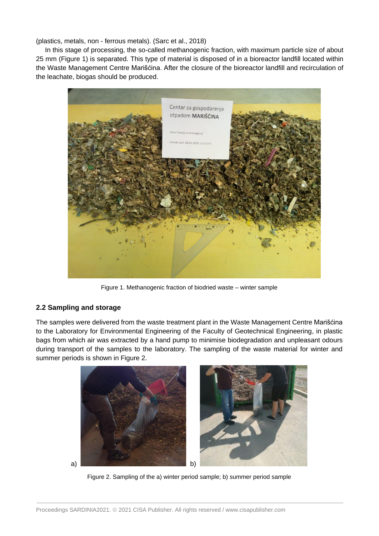(plastics, metals, non - ferrous metals). (Sarc et al., 2018)

In this stage of processing, the so-called methanogenic fraction, with maximum particle size of about 25 mm (Figure 1) is separated. This type of material is disposed of in a bioreactor landfill located within the Waste Management Centre Marišćina. After the closure of the bioreactor landfill and recirculation of the leachate, biogas should be produced.



Figure 1. Methanogenic fraction of biodried waste – winter sample

# **2.2 Sampling and storage**

The samples were delivered from the waste treatment plant in the Waste Management Centre Marišćina to the Laboratory for Environmental Engineering of the Faculty of Geotechnical Engineering, in plastic bags from which air was extracted by a hand pump to minimise biodegradation and unpleasant odours during transport of the samples to the laboratory. The sampling of the waste material for winter and summer periods is shown in Figure 2.



Figure 2. Sampling of the a) winter period sample; b) summer period sample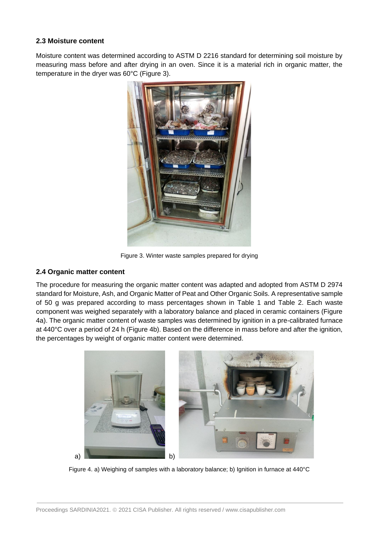# **2.3 Moisture content**

Moisture content was determined according to ASTM D 2216 standard for determining soil moisture by measuring mass before and after drying in an oven. Since it is a material rich in organic matter, the temperature in the dryer was 60°C (Figure 3).



Figure 3. Winter waste samples prepared for drying

# **2.4 Organic matter content**

The procedure for measuring the organic matter content was adapted and adopted from ASTM D 2974 standard for Moisture, Ash, and Organic Matter of Peat and Other Organic Soils. A representative sample of 50 g was prepared according to mass percentages shown in Table 1 and Table 2. Each waste component was weighed separately with a laboratory balance and placed in ceramic containers (Figure 4a). The organic matter content of waste samples was determined by ignition in a pre-calibrated furnace at 440°C over a period of 24 h (Figure 4b). Based on the difference in mass before and after the ignition, the percentages by weight of organic matter content were determined.



Figure 4. a) Weighing of samples with a laboratory balance; b) Ignition in furnace at 440°C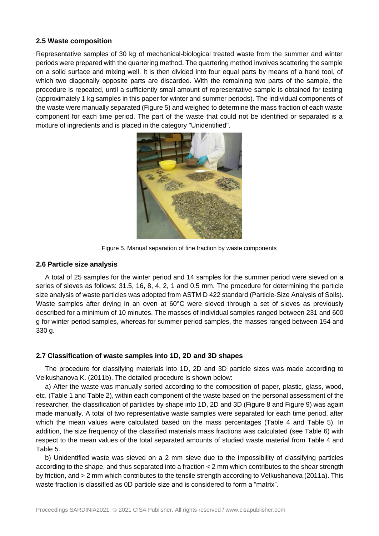#### **2.5 Waste composition**

Representative samples of 30 kg of mechanical-biological treated waste from the summer and winter periods were prepared with the quartering method. The quartering method involves scattering the sample on a solid surface and mixing well. It is then divided into four equal parts by means of a hand tool, of which two diagonally opposite parts are discarded. With the remaining two parts of the sample, the procedure is repeated, until a sufficiently small amount of representative sample is obtained for testing (approximately 1 kg samples in this paper for winter and summer periods). The individual components of the waste were manually separated (Figure 5) and weighed to determine the mass fraction of each waste component for each time period. The part of the waste that could not be identified or separated is a mixture of ingredients and is placed in the category "Unidentified".



Figure 5. Manual separation of fine fraction by waste components

#### **2.6 Particle size analysis**

A total of 25 samples for the winter period and 14 samples for the summer period were sieved on a series of sieves as follows: 31.5, 16, 8, 4, 2, 1 and 0.5 mm. The procedure for determining the particle size analysis of waste particles was adopted from ASTM D 422 standard (Particle-Size Analysis of Soils). Waste samples after drying in an oven at 60°C were sieved through a set of sieves as previously described for a minimum of 10 minutes. The masses of individual samples ranged between 231 and 600 g for winter period samples, whereas for summer period samples, the masses ranged between 154 and 330 g.

# **2.7 Classification of waste samples into 1D, 2D and 3D shapes**

The procedure for classifying materials into 1D, 2D and 3D particle sizes was made according to Velkushanova K. (2011b). The detailed procedure is shown below:

a) After the waste was manually sorted according to the composition of paper, plastic, glass, wood, etc. (Table 1 and Table 2), within each component of the waste based on the personal assessment of the researcher, the classification of particles by shape into 1D, 2D and 3D (Figure 8 and Figure 9) was again made manually. A total of two representative waste samples were separated for each time period, after which the mean values were calculated based on the mass percentages (Table 4 and Table 5). In addition, the size frequency of the classified materials mass fractions was calculated (see Table 6) with respect to the mean values of the total separated amounts of studied waste material from Table 4 and Table 5.

b) Unidentified waste was sieved on a 2 mm sieve due to the impossibility of classifying particles according to the shape, and thus separated into a fraction < 2 mm which contributes to the shear strength by friction, and > 2 mm which contributes to the tensile strength according to Velkushanova (2011a). This waste fraction is classified as 0D particle size and is considered to form a "matrix".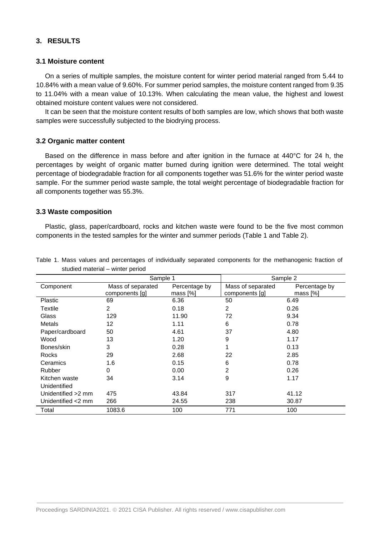# **3. RESULTS**

#### **3.1 Moisture content**

On a series of multiple samples, the moisture content for winter period material ranged from 5.44 to 10.84% with a mean value of 9.60%. For summer period samples, the moisture content ranged from 9.35 to 11.04% with a mean value of 10.13%. When calculating the mean value, the highest and lowest obtained moisture content values were not considered.

It can be seen that the moisture content results of both samples are low, which shows that both waste samples were successfully subjected to the biodrying process.

# **3.2 Organic matter content**

Based on the difference in mass before and after ignition in the furnace at 440°C for 24 h, the percentages by weight of organic matter burned during ignition were determined. The total weight percentage of biodegradable fraction for all components together was 51.6% for the winter period waste sample. For the summer period waste sample, the total weight percentage of biodegradable fraction for all components together was 55.3%.

#### **3.3 Waste composition**

Plastic, glass, paper/cardboard, rocks and kitchen waste were found to be the five most common components in the tested samples for the winter and summer periods (Table 1 and Table 2).

|                               | Sample 1                            |                           | Sample 2                            |                           |
|-------------------------------|-------------------------------------|---------------------------|-------------------------------------|---------------------------|
| Component                     | Mass of separated<br>components [g] | Percentage by<br>mass [%] | Mass of separated<br>components [g] | Percentage by<br>mass [%] |
| <b>Plastic</b>                | 69                                  | 6.36                      | 50                                  | 6.49                      |
| Textile                       | 2                                   | 0.18                      | 2                                   | 0.26                      |
| Glass                         | 129                                 | 11.90                     | 72                                  | 9.34                      |
| Metals                        | $12 \overline{ }$                   | 1.11                      | 6                                   | 0.78                      |
| Paper/cardboard               | 50                                  | 4.61                      | 37                                  | 4.80                      |
| Wood                          | 13                                  | 1.20                      | 9                                   | 1.17                      |
| Bones/skin                    | 3                                   | 0.28                      | 1                                   | 0.13                      |
| Rocks                         | 29                                  | 2.68                      | 22                                  | 2.85                      |
| Ceramics                      | 1.6                                 | 0.15                      | 6                                   | 0.78                      |
| <b>Rubber</b>                 | 0                                   | 0.00                      | 2                                   | 0.26                      |
| Kitchen waste<br>Unidentified | 34                                  | 3.14                      | 9                                   | 1.17                      |
| Unidentified > 2 mm           | 475                                 | 43.84                     | 317                                 | 41.12                     |
| Unidentified <2 mm            | 266                                 | 24.55                     | 238                                 | 30.87                     |
| Total                         | 1083.6                              | 100                       | 771                                 | 100                       |

Table 1. Mass values and percentages of individually separated components for the methanogenic fraction of studied material – winter period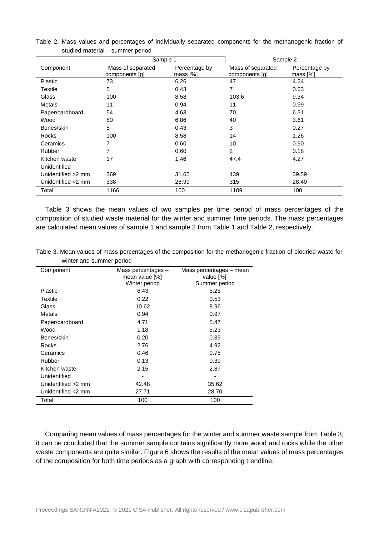|                    | Sample 1                            |                           | Sample 2                            |                           |
|--------------------|-------------------------------------|---------------------------|-------------------------------------|---------------------------|
| Component          | Mass of separated<br>components [g] | Percentage by<br>mass [%] | Mass of separated<br>components [g] | Percentage by<br>mass [%] |
| Plastic            | 73                                  | 6.26                      | 47                                  | 4.24                      |
| Textile            | 5                                   | 0.43                      | 7                                   | 0.63                      |
| Glass              | 100                                 | 8.58                      | 103.6                               | 9.34                      |
| <b>Metals</b>      | 11                                  | 0.94                      | 11                                  | 0.99                      |
| Paper/cardboard    | 54                                  | 4.63                      | 70                                  | 6.31                      |
| Wood               | 80                                  | 6.86                      | 40                                  | 3.61                      |
| Bones/skin         | 5                                   | 0.43                      | 3                                   | 0.27                      |
| Rocks              | 100                                 | 8.58                      | 14                                  | 1.26                      |
| Ceramics           | 7                                   | 0.60                      | 10                                  | 0.90                      |
| Rubber             | 7                                   | 0.60                      | $\overline{c}$                      | 0.18                      |
| Kitchen waste      | 17                                  | 1.46                      | 47.4                                | 4.27                      |
| Unidentified       |                                     |                           |                                     |                           |
| Unidentified >2 mm | 369                                 | 31.65                     | 439                                 | 39.59                     |
| Unidentified <2 mm | 338                                 | 28.99                     | 315                                 | 28.40                     |
| Total              | 1166                                | 100                       | 1109                                | 100                       |

Table 2. Mass values and percentages of individually separated components for the methanogenic fraction of studied material – summer period

Table 3 shows the mean values of two samples per time period of mass percentages of the composition of studied waste material for the winter and summer time periods. The mass percentages are calculated mean values of sample 1 and sample 2 from Table 1 and Table 2, respectively.

| Table 3. Mean values of mass percentages of the composition for the methanogenic fraction of biodried waste for |  |  |
|-----------------------------------------------------------------------------------------------------------------|--|--|
| winter and summer period                                                                                        |  |  |

| Component          | Mass percentages -<br>mean value [%] | Mass percentages – mean<br>value [%] |
|--------------------|--------------------------------------|--------------------------------------|
|                    | Winter period                        | Summer period                        |
| Plastic            | 6.43                                 | 5.25                                 |
| Textile            | 0.22                                 | 0.53                                 |
| Glass              | 10.62                                | 8.96                                 |
| Metals             | 0.94                                 | 0.97                                 |
| Paper/cardboard    | 4.71                                 | 5.47                                 |
| Wood               | 1.18                                 | 5.23                                 |
| Bones/skin         | 0.20                                 | 0.35                                 |
| Rocks              | 2.76                                 | 4.92                                 |
| Ceramics           | 0.46                                 | 0.75                                 |
| Rubber             | 0.13                                 | 0.39                                 |
| Kitchen waste      | 2.15                                 | 2.87                                 |
| Unidentified       |                                      |                                      |
| Unidentified >2 mm | 42.48                                | 35.62                                |
| Unidentified <2 mm | 27.71                                | 28.70                                |
| Total              | 100                                  | 100                                  |

Comparing mean values of mass percentages for the winter and summer waste sample from Table 3, it can be concluded that the summer sample contains significantly more wood and rocks while the other waste components are quite similar. Figure 6 shows the results of the mean values of mass percentages of the composition for both time periods as a graph with corresponding trendline.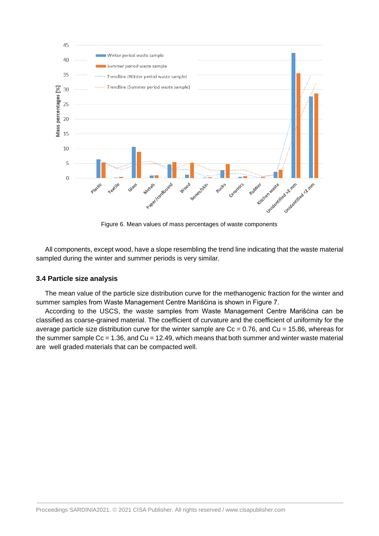

Figure 6. Mean values of mass percentages of waste components

All components, except wood, have a slope resembling the trend line indicating that the waste material sampled during the winter and summer periods is very similar.

# **3.4 Particle size analysis**

The mean value of the particle size distribution curve for the methanogenic fraction for the winter and summer samples from Waste Management Centre Marišćina is shown in Figure 7.

According to the USCS, the waste samples from Waste Management Centre Marišćina can be classified as coarse-grained material. The coefficient of curvature and the coefficient of uniformity for the average particle size distribution curve for the winter sample are  $Cc = 0.76$ , and  $Cu = 15.86$ , whereas for the summer sample  $Cc = 1.36$ , and  $Cu = 12.49$ , which means that both summer and winter waste material are well graded materials that can be compacted well.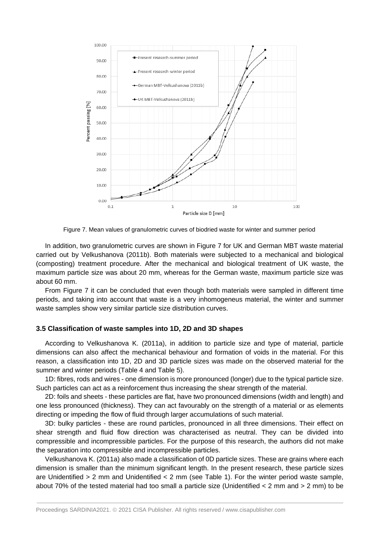

Figure 7. Mean values of granulometric curves of biodried waste for winter and summer period

In addition, two granulometric curves are shown in Figure 7 for UK and German MBT waste material carried out by Velkushanova (2011b). Both materials were subjected to a mechanical and biological (composting) treatment procedure. After the mechanical and biological treatment of UK waste, the maximum particle size was about 20 mm, whereas for the German waste, maximum particle size was about 60 mm.

From Figure 7 it can be concluded that even though both materials were sampled in different time periods, and taking into account that waste is a very inhomogeneus material, the winter and summer waste samples show very similar particle size distribution curves.

#### **3.5 Classification of waste samples into 1D, 2D and 3D shapes**

According to Velkushanova K. (2011a), in addition to particle size and type of material, particle dimensions can also affect the mechanical behaviour and formation of voids in the material. For this reason, a classification into 1D, 2D and 3D particle sizes was made on the observed material for the summer and winter periods (Table 4 and Table 5).

1D: fibres, rods and wires - one dimension is more pronounced (longer) due to the typical particle size. Such particles can act as a reinforcement thus increasing the shear strength of the material.

2D: foils and sheets - these particles are flat, have two pronounced dimensions (width and length) and one less pronounced (thickness). They can act favourably on the strength of a material or as elements directing or impeding the flow of fluid through larger accumulations of such material.

3D: bulky particles - these are round particles, pronounced in all three dimensions. Their effect on shear strength and fluid flow direction was characterised as neutral. They can be divided into compressible and incompressible particles. For the purpose of this research, the authors did not make the separation into compressible and incompressible particles.

Velkushanova K. (2011a) also made a classification of 0D particle sizes. These are grains where each dimension is smaller than the minimum significant length. In the present research, these particle sizes are Unidentified > 2 mm and Unidentified < 2 mm (see Table 1). For the winter period waste sample, about 70% of the tested material had too small a particle size (Unidentified < 2 mm and > 2 mm) to be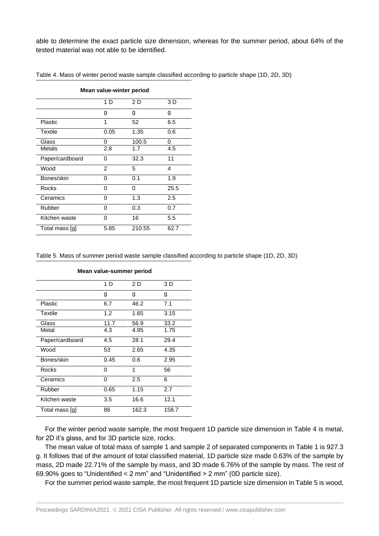able to determine the exact particle size dimension, whereas for the summer period, about 64% of the tested material was not able to be identified.

| Mean value-winter period |                |        |      |  |
|--------------------------|----------------|--------|------|--|
|                          | 1 D            | 2 D    | 3 D  |  |
|                          | g              | g      | g    |  |
| Plastic                  | 1              | 52     | 6.5  |  |
| <b>Textile</b>           | 0.05           | 1.35   | 0.6  |  |
| Glass                    | 0              | 100.5  | 0    |  |
| Metals                   | 2.8            | 1.7    | 4.5  |  |
| Paper/cardboard          | 0              | 32.3   | 11   |  |
| Wood                     | $\overline{2}$ | 5      | 4    |  |
| Bones/skin               | 0              | 0.1    | 1.9  |  |
| Rocks                    | O              | 0      | 25.5 |  |
| Ceramics                 | 0              | 1.3    | 2.5  |  |
| Rubber                   | O              | 0.3    | 0.7  |  |
| Kitchen waste            | 0              | 16     | 5.5  |  |
| Total mass [g]           | 5.85           | 210.55 | 62.7 |  |

Table 4. Mass of winter period waste sample classified according to particle shape (1D, 2D, 3D)

Table 5. Mass of summer period waste sample classified according to particle shape (1D, 2D, 3D)

| Mean value-summer period |      |       |       |
|--------------------------|------|-------|-------|
|                          | 1 D  | 2 D   | 3 D   |
|                          | g    | g     | g     |
| Plastic                  | 6.7  | 46.2  | 7.1   |
| <b>Textile</b>           | 1.2  | 1.65  | 3.15  |
| Glass                    | 11.7 | 56.9  | 33.2  |
| Metal                    | 4.3  | 4.95  | 1.75  |
| Paper/cardboard          | 4.5  | 28.1  | 29.4  |
| Wood                     | 53   | 2.65  | 4.35  |
| Bones/skin               | 0.45 | 0.6   | 2.95  |
| Rocks                    | 0    | 1     | 56    |
| Ceramics                 | 0    | 2.5   | 6     |
| Rubber                   | 0.65 | 1.15  | 2.7   |
| Kitchen waste            | 3.5  | 16.6  | 12.1  |
| Total mass [g]           | 86   | 162.3 | 158.7 |

**Mean value-summer period**

For the winter period waste sample, the most frequent 1D particle size dimension in Table 4 is metal, for 2D it's glass, and for 3D particle size, rocks.

The mean value of total mass of sample 1 and sample 2 of separated components in Table 1 is 927.3 g. It follows that of the amount of total classified material, 1D particle size made 0.63% of the sample by mass, 2D made 22.71% of the sample by mass, and 3D made 6.76% of the sample by mass. The rest of 69.90% goes to "Unidentified < 2 mm" and "Unidentified > 2 mm" (0D particle size).

For the summer period waste sample, the most frequent 1D particle size dimension in Table 5 is wood,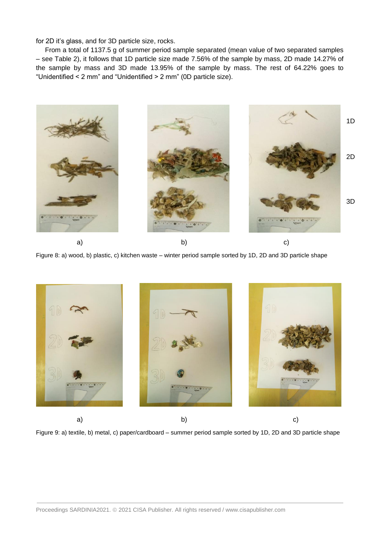for 2D it's glass, and for 3D particle size, rocks.

From a total of 1137.5 g of summer period sample separated (mean value of two separated samples – see Table 2), it follows that 1D particle size made 7.56% of the sample by mass, 2D made 14.27% of the sample by mass and 3D made 13.95% of the sample by mass. The rest of 64.22% goes to "Unidentified < 2 mm" and "Unidentified > 2 mm" (0D particle size).



Figure 8: a) wood, b) plastic, c) kitchen waste – winter period sample sorted by 1D, 2D and 3D particle shape



a) b) c) c) and c  $\mathbf{b}$ 

Figure 9: a) textile, b) metal, c) paper/cardboard – summer period sample sorted by 1D, 2D and 3D particle shape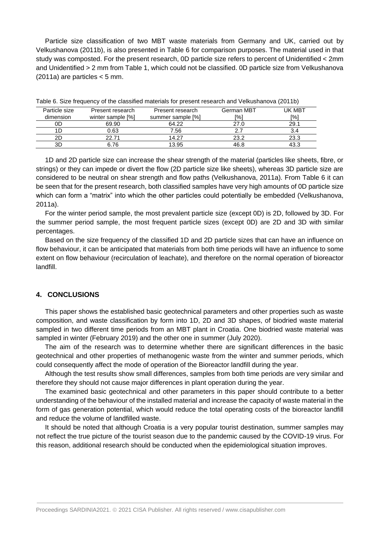Particle size classification of two MBT waste materials from Germany and UK, carried out by Velkushanova (2011b), is also presented in Table 6 for comparison purposes. The material used in that study was composted. For the present research, 0D particle size refers to percent of Unidentified < 2mm and Unidentified > 2 mm from Table 1, which could not be classified. 0D particle size from Velkushanova  $(2011a)$  are particles  $< 5$  mm.

| Particle size | Present research  | Present research  | German MBT | UK MBT     |
|---------------|-------------------|-------------------|------------|------------|
| dimension     | winter sample [%] | summer sample [%] | [%]        | <b>[%]</b> |
| 0D            | 69.90             | 64.22             | 27.0       | 29.1       |
|               | 0.63              | 7.56              |            | 3.4        |
|               | 22.71             | 14.27             | 23.2       | 23.3       |
| 3D            | 6.76              | 13.95             | 46.8       | 43.3       |
|               |                   |                   |            |            |

Table 6. Size frequency of the classified materials for present research and Velkushanova (2011b)

1D and 2D particle size can increase the shear strength of the material (particles like sheets, fibre, or strings) or they can impede or divert the flow (2D particle size like sheets), whereas 3D particle size are considered to be neutral on shear strength and flow paths (Velkushanova, 2011a). From Table 6 it can be seen that for the present research, both classified samples have very high amounts of 0D particle size which can form a "matrix" into which the other particles could potentially be embedded (Velkushanova, 2011a).

For the winter period sample, the most prevalent particle size (except 0D) is 2D, followed by 3D. For the summer period sample, the most frequent particle sizes (except 0D) are 2D and 3D with similar percentages.

Based on the size frequency of the classified 1D and 2D particle sizes that can have an influence on flow behaviour, it can be anticipated that materials from both time periods will have an influence to some extent on flow behaviour (recirculation of leachate), and therefore on the normal operation of bioreactor landfill.

# **4. CONCLUSIONS**

This paper shows the established basic geotechnical parameters and other properties such as waste composition, and waste classification by form into 1D, 2D and 3D shapes, of biodried waste material sampled in two different time periods from an MBT plant in Croatia. One biodried waste material was sampled in winter (February 2019) and the other one in summer (July 2020).

The aim of the research was to determine whether there are significant differences in the basic geotechnical and other properties of methanogenic waste from the winter and summer periods, which could consequently affect the mode of operation of the Bioreactor landfill during the year.

Although the test results show small differences, samples from both time periods are very similar and therefore they should not cause major differences in plant operation during the year.

The examined basic geotechnical and other parameters in this paper should contribute to a better understanding of the behaviour of the installed material and increase the capacity of waste material in the form of gas generation potential, which would reduce the total operating costs of the bioreactor landfill and reduce the volume of landfilled waste.

It should be noted that although Croatia is a very popular tourist destination, summer samples may not reflect the true picture of the tourist season due to the pandemic caused by the COVID-19 virus. For this reason, additional research should be conducted when the epidemiological situation improves.